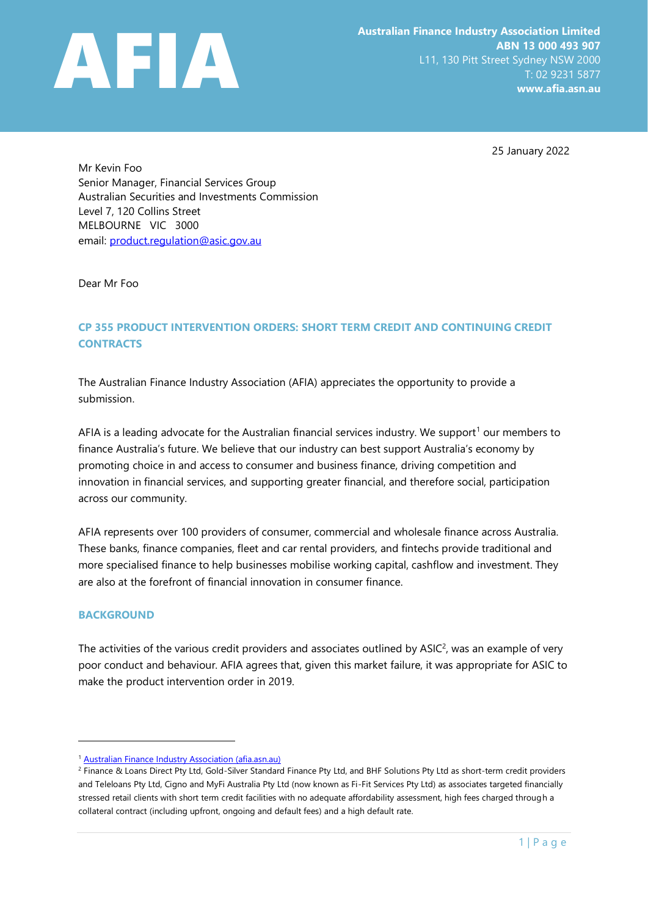

25 January 2022

Mr Kevin Foo Senior Manager, Financial Services Group Australian Securities and Investments Commission Level 7, 120 Collins Street MELBOURNE VIC 3000 email: [product.regulation@asic.gov.au](mailto:product.regulation@asic.gov.au)

Dear Mr Foo

## **CP 355 PRODUCT INTERVENTION ORDERS: SHORT TERM CREDIT AND CONTINUING CREDIT CONTRACTS**

The Australian Finance Industry Association (AFIA) appreciates the opportunity to provide a submission.

AFIA is a leading advocate for the Australian financial services industry. We support<sup>1</sup> our members to finance Australia's future. We believe that our industry can best support Australia's economy by promoting choice in and access to consumer and business finance, driving competition and innovation in financial services, and supporting greater financial, and therefore social, participation across our community.

AFIA represents over 100 providers of consumer, commercial and wholesale finance across Australia. These banks, finance companies, fleet and car rental providers, and fintechs provide traditional and more specialised finance to help businesses mobilise working capital, cashflow and investment. They are also at the forefront of financial innovation in consumer finance.

#### **BACKGROUND**

The activities of the various credit providers and associates outlined by  $ASIC<sup>2</sup>$ , was an example of very poor conduct and behaviour. AFIA agrees that, given this market failure, it was appropriate for ASIC to make the product intervention order in 2019.

<sup>&</sup>lt;sup>1</sup> [Australian Finance Industry Association \(afia.asn.au\)](https://afia.asn.au/)

<sup>&</sup>lt;sup>2</sup> Finance & Loans Direct Pty Ltd, Gold-Silver Standard Finance Pty Ltd, and BHF Solutions Pty Ltd as short-term credit providers and Teleloans Pty Ltd, Cigno and MyFi Australia Pty Ltd (now known as Fi-Fit Services Pty Ltd) as associates targeted financially stressed retail clients with short term credit facilities with no adequate affordability assessment, high fees charged through a collateral contract (including upfront, ongoing and default fees) and a high default rate.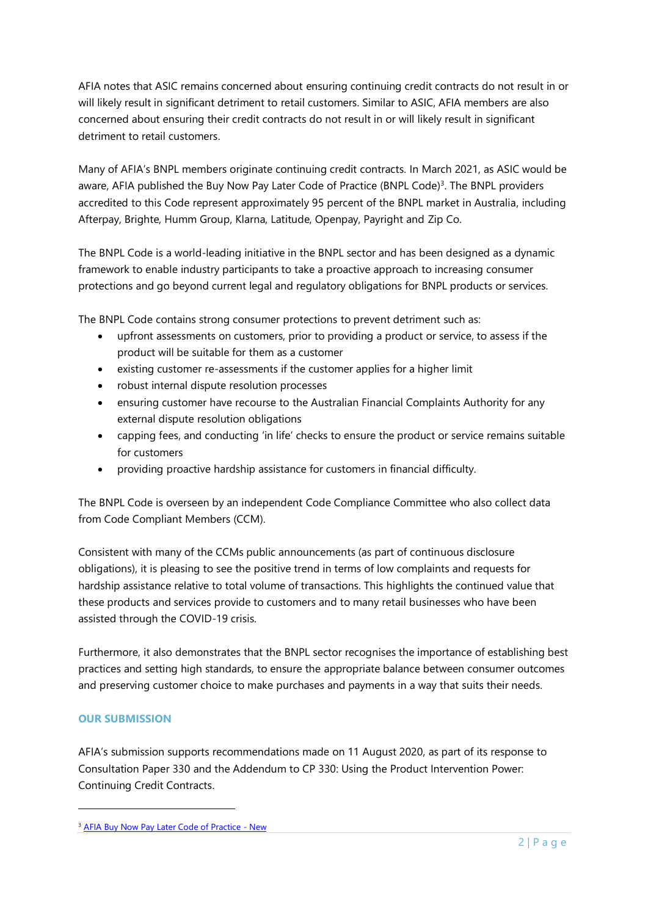AFIA notes that ASIC remains concerned about ensuring continuing credit contracts do not result in or will likely result in significant detriment to retail customers. Similar to ASIC, AFIA members are also concerned about ensuring their credit contracts do not result in or will likely result in significant detriment to retail customers.

Many of AFIA's BNPL members originate continuing credit contracts. In March 2021, as ASIC would be aware, AFIA published the Buy Now Pay Later Code of Practice (BNPL Code)<sup>3</sup>. The BNPL providers accredited to this Code represent approximately 95 percent of the BNPL market in Australia, including Afterpay, Brighte, Humm Group, Klarna, Latitude, Openpay, Payright and Zip Co.

The BNPL Code is a world-leading initiative in the BNPL sector and has been designed as a dynamic framework to enable industry participants to take a proactive approach to increasing consumer protections and go beyond current legal and regulatory obligations for BNPL products or services.

The BNPL Code contains strong consumer protections to prevent detriment such as:

- upfront assessments on customers, prior to providing a product or service, to assess if the product will be suitable for them as a customer
- existing customer re-assessments if the customer applies for a higher limit
- robust internal dispute resolution processes
- ensuring customer have recourse to the Australian Financial Complaints Authority for any external dispute resolution obligations
- capping fees, and conducting 'in life' checks to ensure the product or service remains suitable for customers
- providing proactive hardship assistance for customers in financial difficulty.

The BNPL Code is overseen by an independent Code Compliance Committee who also collect data from Code Compliant Members (CCM).

Consistent with many of the CCMs public announcements (as part of continuous disclosure obligations), it is pleasing to see the positive trend in terms of low complaints and requests for hardship assistance relative to total volume of transactions. This highlights the continued value that these products and services provide to customers and to many retail businesses who have been assisted through the COVID-19 crisis.

Furthermore, it also demonstrates that the BNPL sector recognises the importance of establishing best practices and setting high standards, to ensure the appropriate balance between consumer outcomes and preserving customer choice to make purchases and payments in a way that suits their needs.

### **OUR SUBMISSION**

AFIA's submission supports recommendations made on 11 August 2020, as part of its response to Consultation Paper 330 and the Addendum to CP 330: Using the Product Intervention Power: Continuing Credit Contracts.

<sup>&</sup>lt;sup>3</sup> [AFIA Buy Now Pay Later Code of Practice -](https://afia.asn.au/AFIA-Buy-Now-Pay-Later-Code-of-Practice) New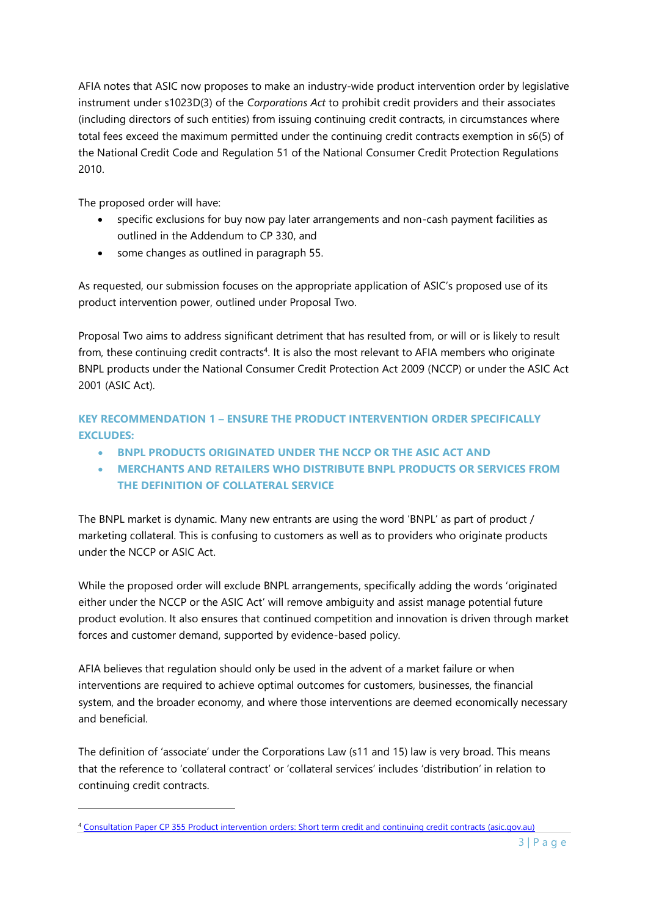AFIA notes that ASIC now proposes to make an industry-wide product intervention order by legislative instrument under s1023D(3) of the *Corporations Act* to prohibit credit providers and their associates (including directors of such entities) from issuing continuing credit contracts, in circumstances where total fees exceed the maximum permitted under the continuing credit contracts exemption in s6(5) of the National Credit Code and Regulation 51 of the National Consumer Credit Protection Regulations 2010.

The proposed order will have:

- specific exclusions for buy now pay later arrangements and non-cash payment facilities as outlined in the Addendum to CP 330, and
- some changes as outlined in paragraph 55.

As requested, our submission focuses on the appropriate application of ASIC's proposed use of its product intervention power, outlined under Proposal Two.

Proposal Two aims to address significant detriment that has resulted from, or will or is likely to result from, these continuing credit contracts<sup>4</sup>. It is also the most relevant to AFIA members who originate BNPL products under the National Consumer Credit Protection Act 2009 (NCCP) or under the ASIC Act 2001 (ASIC Act).

**KEY RECOMMENDATION 1 – ENSURE THE PRODUCT INTERVENTION ORDER SPECIFICALLY EXCLUDES:**

- **BNPL PRODUCTS ORIGINATED UNDER THE NCCP OR THE ASIC ACT AND**
- **MERCHANTS AND RETAILERS WHO DISTRIBUTE BNPL PRODUCTS OR SERVICES FROM THE DEFINITION OF COLLATERAL SERVICE**

The BNPL market is dynamic. Many new entrants are using the word 'BNPL' as part of product / marketing collateral. This is confusing to customers as well as to providers who originate products under the NCCP or ASIC Act.

While the proposed order will exclude BNPL arrangements, specifically adding the words 'originated either under the NCCP or the ASIC Act' will remove ambiguity and assist manage potential future product evolution. It also ensures that continued competition and innovation is driven through market forces and customer demand, supported by evidence-based policy.

AFIA believes that regulation should only be used in the advent of a market failure or when interventions are required to achieve optimal outcomes for customers, businesses, the financial system, and the broader economy, and where those interventions are deemed economically necessary and beneficial.

The definition of 'associate' under the Corporations Law (s11 and 15) law is very broad. This means that the reference to 'collateral contract' or 'collateral services' includes 'distribution' in relation to continuing credit contracts.

<sup>4</sup> [Consultation Paper CP 355 Product intervention orders: Short term credit and continuing credit contracts \(asic.gov.au\)](https://download.asic.gov.au/media/tpfhiphy/cp355-published-9-december-2021.pdf)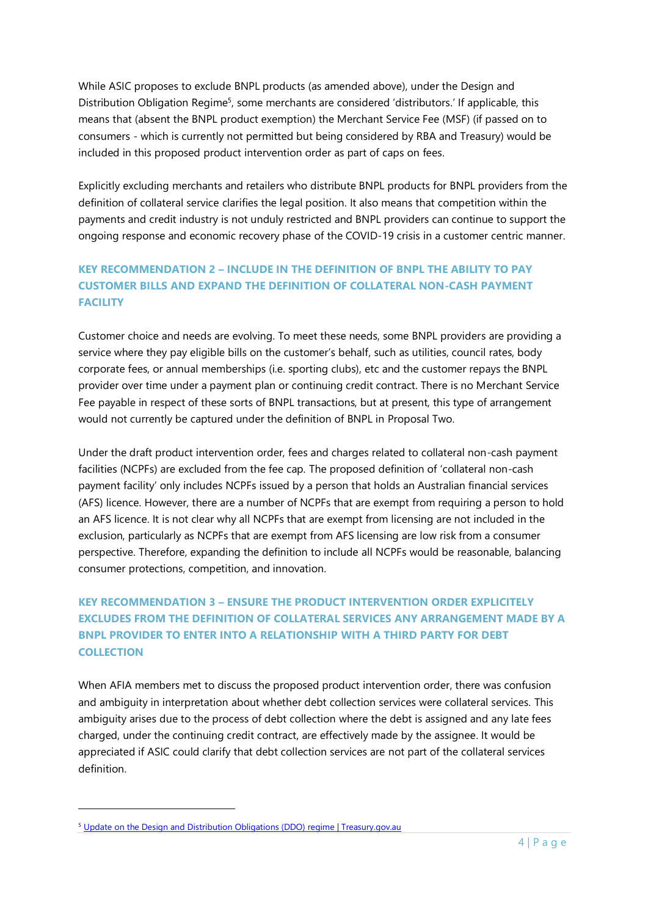While ASIC proposes to exclude BNPL products (as amended above), under the Design and Distribution Obligation Regime<sup>5</sup>, some merchants are considered 'distributors.' If applicable, this means that (absent the BNPL product exemption) the Merchant Service Fee (MSF) (if passed on to consumers - which is currently not permitted but being considered by RBA and Treasury) would be included in this proposed product intervention order as part of caps on fees.

Explicitly excluding merchants and retailers who distribute BNPL products for BNPL providers from the definition of collateral service clarifies the legal position. It also means that competition within the payments and credit industry is not unduly restricted and BNPL providers can continue to support the ongoing response and economic recovery phase of the COVID-19 crisis in a customer centric manner.

## **KEY RECOMMENDATION 2 – INCLUDE IN THE DEFINITION OF BNPL THE ABILITY TO PAY CUSTOMER BILLS AND EXPAND THE DEFINITION OF COLLATERAL NON-CASH PAYMENT FACILITY**

Customer choice and needs are evolving. To meet these needs, some BNPL providers are providing a service where they pay eligible bills on the customer's behalf, such as utilities, council rates, body corporate fees, or annual memberships (i.e. sporting clubs), etc and the customer repays the BNPL provider over time under a payment plan or continuing credit contract. There is no Merchant Service Fee payable in respect of these sorts of BNPL transactions, but at present, this type of arrangement would not currently be captured under the definition of BNPL in Proposal Two.

Under the draft product intervention order, fees and charges related to collateral non-cash payment facilities (NCPFs) are excluded from the fee cap. The proposed definition of 'collateral non-cash payment facility' only includes NCPFs issued by a person that holds an Australian financial services (AFS) licence. However, there are a number of NCPFs that are exempt from requiring a person to hold an AFS licence. It is not clear why all NCPFs that are exempt from licensing are not included in the exclusion, particularly as NCPFs that are exempt from AFS licensing are low risk from a consumer perspective. Therefore, expanding the definition to include all NCPFs would be reasonable, balancing consumer protections, competition, and innovation.

# **KEY RECOMMENDATION 3 – ENSURE THE PRODUCT INTERVENTION ORDER EXPLICITELY EXCLUDES FROM THE DEFINITION OF COLLATERAL SERVICES ANY ARRANGEMENT MADE BY A BNPL PROVIDER TO ENTER INTO A RELATIONSHIP WITH A THIRD PARTY FOR DEBT COLLECTION**

When AFIA members met to discuss the proposed product intervention order, there was confusion and ambiguity in interpretation about whether debt collection services were collateral services. This ambiguity arises due to the process of debt collection where the debt is assigned and any late fees charged, under the continuing credit contract, are effectively made by the assignee. It would be appreciated if ASIC could clarify that debt collection services are not part of the collateral services definition.

<sup>5</sup> [Update on the Design and Distribution Obligations \(DDO\) regime | Treasury.gov.au](https://treasury.gov.au/consultation/c2019-t408904/update-ddo-regime)